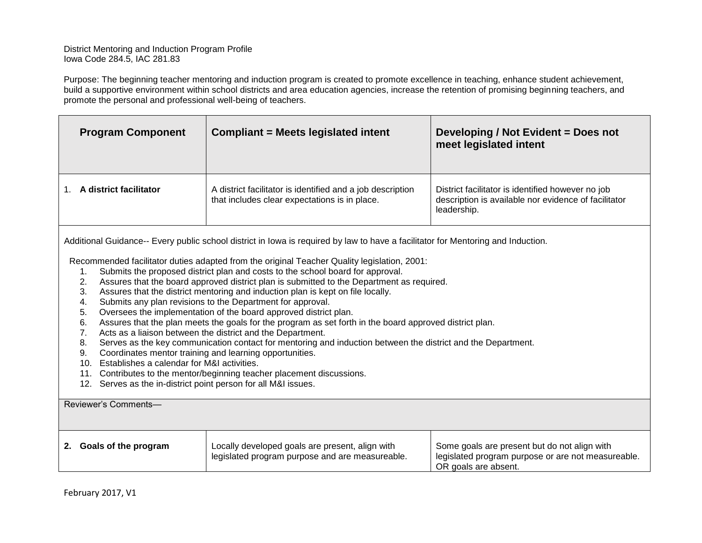District Mentoring and Induction Program Profile Iowa Code 284.5, IAC 281.83

Purpose: The beginning teacher mentoring and induction program is created to promote excellence in teaching, enhance student achievement, build a supportive environment within school districts and area education agencies, increase the retention of promising beginning teachers, and promote the personal and professional well-being of teachers.

| <b>Program Component</b> | <b>Compliant = Meets legislated intent</b>                                                                  | Developing / Not Evident = Does not<br>meet legislated intent                                                            |
|--------------------------|-------------------------------------------------------------------------------------------------------------|--------------------------------------------------------------------------------------------------------------------------|
| A district facilitator   | A district facilitator is identified and a job description<br>that includes clear expectations is in place. | District facilitator is identified however no job<br>description is available nor evidence of facilitator<br>leadership. |

Additional Guidance-- Every public school district in Iowa is required by law to have a facilitator for Mentoring and Induction.

Recommended facilitator duties adapted from the original Teacher Quality legislation, 2001:

- 1. Submits the proposed district plan and costs to the school board for approval.
- 2. Assures that the board approved district plan is submitted to the Department as required.
- 3. Assures that the district mentoring and induction plan is kept on file locally.
- 4. Submits any plan revisions to the Department for approval.
- 5. Oversees the implementation of the board approved district plan.
- 6. Assures that the plan meets the goals for the program as set forth in the board approved district plan.
- 7. Acts as a liaison between the district and the Department.
- 8. Serves as the key communication contact for mentoring and induction between the district and the Department.
- 9. Coordinates mentor training and learning opportunities.
- 10. Establishes a calendar for M&I activities.
- 11. Contributes to the mentor/beginning teacher placement discussions.
- 12. Serves as the in-district point person for all M&I issues.

## Reviewer's Comments—

| Locally developed goals are present, align with | Some goals are present but do not align with       |
|-------------------------------------------------|----------------------------------------------------|
| Goals of the program                            | legislated program purpose or are not measureable. |
| legislated program purpose and are measureable. | OR goals are absent.                               |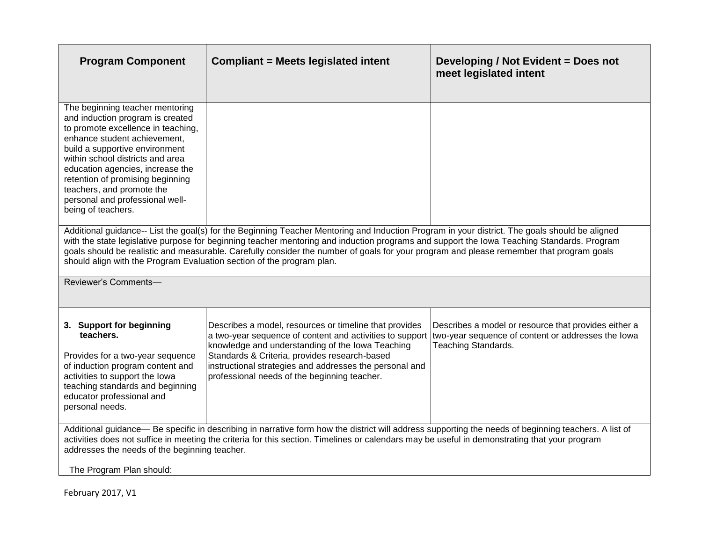| <b>Program Component</b>                                                                                                                                                                                                                                                                                                                                                                                                                                                                                          | <b>Compliant = Meets legislated intent</b>                                                                                                                                                                                                                                                                                                                                            | Developing / Not Evident = Does not<br>meet legislated intent               |
|-------------------------------------------------------------------------------------------------------------------------------------------------------------------------------------------------------------------------------------------------------------------------------------------------------------------------------------------------------------------------------------------------------------------------------------------------------------------------------------------------------------------|---------------------------------------------------------------------------------------------------------------------------------------------------------------------------------------------------------------------------------------------------------------------------------------------------------------------------------------------------------------------------------------|-----------------------------------------------------------------------------|
| The beginning teacher mentoring<br>and induction program is created<br>to promote excellence in teaching,<br>enhance student achievement,<br>build a supportive environment<br>within school districts and area<br>education agencies, increase the<br>retention of promising beginning<br>teachers, and promote the<br>personal and professional well-<br>being of teachers.                                                                                                                                     |                                                                                                                                                                                                                                                                                                                                                                                       |                                                                             |
| Additional guidance-- List the goal(s) for the Beginning Teacher Mentoring and Induction Program in your district. The goals should be aligned<br>with the state legislative purpose for beginning teacher mentoring and induction programs and support the Iowa Teaching Standards. Program<br>goals should be realistic and measurable. Carefully consider the number of goals for your program and please remember that program goals<br>should align with the Program Evaluation section of the program plan. |                                                                                                                                                                                                                                                                                                                                                                                       |                                                                             |
| Reviewer's Comments-                                                                                                                                                                                                                                                                                                                                                                                                                                                                                              |                                                                                                                                                                                                                                                                                                                                                                                       |                                                                             |
| 3. Support for beginning<br>teachers.<br>Provides for a two-year sequence<br>of induction program content and<br>activities to support the lowa<br>teaching standards and beginning<br>educator professional and<br>personal needs.                                                                                                                                                                                                                                                                               | Describes a model, resources or timeline that provides<br>a two-year sequence of content and activities to support two-year sequence of content or addresses the lowa<br>knowledge and understanding of the Iowa Teaching<br>Standards & Criteria, provides research-based<br>instructional strategies and addresses the personal and<br>professional needs of the beginning teacher. | Describes a model or resource that provides either a<br>Teaching Standards. |
| Additional guidance— Be specific in describing in narrative form how the district will address supporting the needs of beginning teachers. A list of<br>activities does not suffice in meeting the criteria for this section. Timelines or calendars may be useful in demonstrating that your program<br>addresses the needs of the beginning teacher.                                                                                                                                                            |                                                                                                                                                                                                                                                                                                                                                                                       |                                                                             |
| The Program Plan should:                                                                                                                                                                                                                                                                                                                                                                                                                                                                                          |                                                                                                                                                                                                                                                                                                                                                                                       |                                                                             |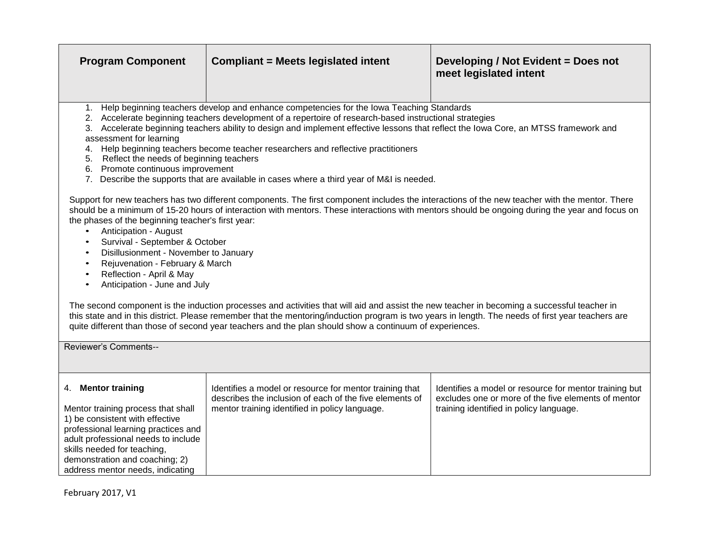| <b>Program Component</b>                                                                                                                                                                                                                                                                                                                                                                                                                                                                                                                                                                                                                                                                                                                                                                                                                                                                                                                                                                                                                                                                                                                                                                                                                                                                                                                                                                                                                                                                                                                                                                                                                                                 | <b>Compliant = Meets legislated intent</b>                                                                                                                           | Developing / Not Evident = Does not<br>meet legislated intent                                                                                            |
|--------------------------------------------------------------------------------------------------------------------------------------------------------------------------------------------------------------------------------------------------------------------------------------------------------------------------------------------------------------------------------------------------------------------------------------------------------------------------------------------------------------------------------------------------------------------------------------------------------------------------------------------------------------------------------------------------------------------------------------------------------------------------------------------------------------------------------------------------------------------------------------------------------------------------------------------------------------------------------------------------------------------------------------------------------------------------------------------------------------------------------------------------------------------------------------------------------------------------------------------------------------------------------------------------------------------------------------------------------------------------------------------------------------------------------------------------------------------------------------------------------------------------------------------------------------------------------------------------------------------------------------------------------------------------|----------------------------------------------------------------------------------------------------------------------------------------------------------------------|----------------------------------------------------------------------------------------------------------------------------------------------------------|
| 1. Help beginning teachers develop and enhance competencies for the Iowa Teaching Standards<br>2. Accelerate beginning teachers development of a repertoire of research-based instructional strategies<br>3. Accelerate beginning teachers ability to design and implement effective lessons that reflect the lowa Core, an MTSS framework and<br>assessment for learning<br>Help beginning teachers become teacher researchers and reflective practitioners<br>4.<br>Reflect the needs of beginning teachers<br>5.<br>6. Promote continuous improvement<br>7. Describe the supports that are available in cases where a third year of M&I is needed.<br>Support for new teachers has two different components. The first component includes the interactions of the new teacher with the mentor. There<br>should be a minimum of 15-20 hours of interaction with mentors. These interactions with mentors should be ongoing during the year and focus on<br>the phases of the beginning teacher's first year:<br>Anticipation - August<br>$\bullet$<br>Survival - September & October<br>Disillusionment - November to January<br>$\bullet$<br>Rejuvenation - February & March<br>Reflection - April & May<br>$\bullet$<br>Anticipation - June and July<br>The second component is the induction processes and activities that will aid and assist the new teacher in becoming a successful teacher in<br>this state and in this district. Please remember that the mentoring/induction program is two years in length. The needs of first year teachers are<br>quite different than those of second year teachers and the plan should show a continuum of experiences. |                                                                                                                                                                      |                                                                                                                                                          |
| Reviewer's Comments--                                                                                                                                                                                                                                                                                                                                                                                                                                                                                                                                                                                                                                                                                                                                                                                                                                                                                                                                                                                                                                                                                                                                                                                                                                                                                                                                                                                                                                                                                                                                                                                                                                                    |                                                                                                                                                                      |                                                                                                                                                          |
| 4. Mentor training<br>Mentor training process that shall<br>1) be consistent with effective<br>professional learning practices and<br>adult professional needs to include<br>skills needed for teaching,<br>demonstration and coaching; 2)<br>address mentor needs, indicating                                                                                                                                                                                                                                                                                                                                                                                                                                                                                                                                                                                                                                                                                                                                                                                                                                                                                                                                                                                                                                                                                                                                                                                                                                                                                                                                                                                           | Identifies a model or resource for mentor training that<br>describes the inclusion of each of the five elements of<br>mentor training identified in policy language. | Identifies a model or resource for mentor training but<br>excludes one or more of the five elements of mentor<br>training identified in policy language. |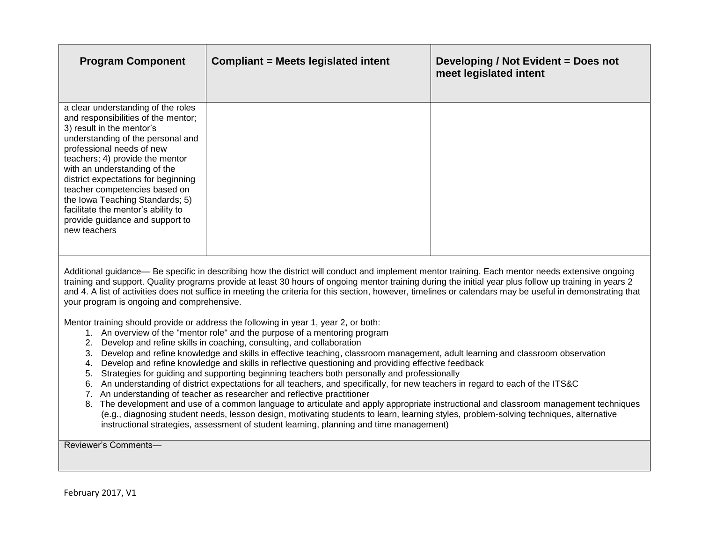| <b>Program Component</b>                                                                                                                                                                                                                                                                                                                                                                                                                        | <b>Compliant = Meets legislated intent</b> | Developing / Not Evident = Does not<br>meet legislated intent |
|-------------------------------------------------------------------------------------------------------------------------------------------------------------------------------------------------------------------------------------------------------------------------------------------------------------------------------------------------------------------------------------------------------------------------------------------------|--------------------------------------------|---------------------------------------------------------------|
| a clear understanding of the roles<br>and responsibilities of the mentor;<br>3) result in the mentor's<br>understanding of the personal and<br>professional needs of new<br>teachers; 4) provide the mentor<br>with an understanding of the<br>district expectations for beginning<br>teacher competencies based on<br>the Iowa Teaching Standards; 5)<br>facilitate the mentor's ability to<br>provide guidance and support to<br>new teachers |                                            |                                                               |
| Additional guidance— Be specific in describing how the district will conduct and implement mentor training. Each mentor needs extensive ongoing<br>training and support. Quality programs provide at least 30 hours of ongoing mentor training during the initial year plus follow up training in years 2                                                                                                                                       |                                            |                                                               |

and 4. A list of activities does not suffice in meeting the criteria for this section, however, timelines or calendars may be useful in demonstrating that your program is ongoing and comprehensive.

Mentor training should provide or address the following in year 1, year 2, or both:

- 1. An overview of the "mentor role" and the purpose of a mentoring program
- 2. Develop and refine skills in coaching, consulting, and collaboration
- 3. Develop and refine knowledge and skills in effective teaching, classroom management, adult learning and classroom observation
- 4. Develop and refine knowledge and skills in reflective questioning and providing effective feedback
- 5. Strategies for guiding and supporting beginning teachers both personally and professionally
- 6. An understanding of district expectations for all teachers, and specifically, for new teachers in regard to each of the ITS&C
- 7. An understanding of teacher as researcher and reflective practitioner
- 8. The development and use of a common language to articulate and apply appropriate instructional and classroom management techniques (e.g., diagnosing student needs, lesson design, motivating students to learn, learning styles, problem-solving techniques, alternative instructional strategies, assessment of student learning, planning and time management)

Reviewer's Comments—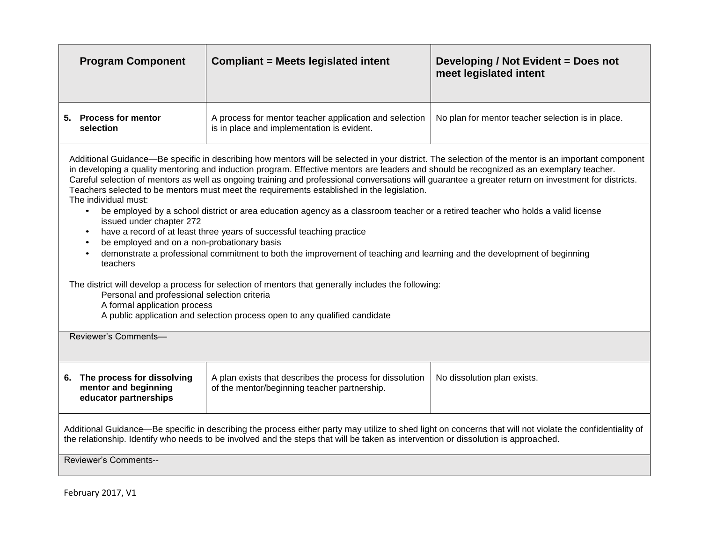| <b>Program Component</b>                                                                                                                                                                                                                                                                                                                                                                                                                                                                                                                                                                                                                                                                                                                                                                                                                                                                                                                                                                                                                                                                                                                                                                                                                                                                                               | <b>Compliant = Meets legislated intent</b>                                                               | Developing / Not Evident = Does not<br>meet legislated intent |
|------------------------------------------------------------------------------------------------------------------------------------------------------------------------------------------------------------------------------------------------------------------------------------------------------------------------------------------------------------------------------------------------------------------------------------------------------------------------------------------------------------------------------------------------------------------------------------------------------------------------------------------------------------------------------------------------------------------------------------------------------------------------------------------------------------------------------------------------------------------------------------------------------------------------------------------------------------------------------------------------------------------------------------------------------------------------------------------------------------------------------------------------------------------------------------------------------------------------------------------------------------------------------------------------------------------------|----------------------------------------------------------------------------------------------------------|---------------------------------------------------------------|
| 5. Process for mentor<br>selection                                                                                                                                                                                                                                                                                                                                                                                                                                                                                                                                                                                                                                                                                                                                                                                                                                                                                                                                                                                                                                                                                                                                                                                                                                                                                     | A process for mentor teacher application and selection<br>is in place and implementation is evident.     | No plan for mentor teacher selection is in place.             |
| Additional Guidance—Be specific in describing how mentors will be selected in your district. The selection of the mentor is an important component<br>in developing a quality mentoring and induction program. Effective mentors are leaders and should be recognized as an exemplary teacher.<br>Careful selection of mentors as well as ongoing training and professional conversations will guarantee a greater return on investment for districts.<br>Teachers selected to be mentors must meet the requirements established in the legislation.<br>The individual must:<br>be employed by a school district or area education agency as a classroom teacher or a retired teacher who holds a valid license<br>issued under chapter 272<br>have a record of at least three years of successful teaching practice<br>$\bullet$<br>be employed and on a non-probationary basis<br>$\bullet$<br>demonstrate a professional commitment to both the improvement of teaching and learning and the development of beginning<br>$\bullet$<br>teachers<br>The district will develop a process for selection of mentors that generally includes the following:<br>Personal and professional selection criteria<br>A formal application process<br>A public application and selection process open to any qualified candidate |                                                                                                          |                                                               |
| Reviewer's Comments-                                                                                                                                                                                                                                                                                                                                                                                                                                                                                                                                                                                                                                                                                                                                                                                                                                                                                                                                                                                                                                                                                                                                                                                                                                                                                                   |                                                                                                          |                                                               |
| 6. The process for dissolving<br>mentor and beginning<br>educator partnerships                                                                                                                                                                                                                                                                                                                                                                                                                                                                                                                                                                                                                                                                                                                                                                                                                                                                                                                                                                                                                                                                                                                                                                                                                                         | A plan exists that describes the process for dissolution<br>of the mentor/beginning teacher partnership. | No dissolution plan exists.                                   |
| Additional Guidance—Be specific in describing the process either party may utilize to shed light on concerns that will not violate the confidentiality of<br>the relationship. Identify who needs to be involved and the steps that will be taken as intervention or dissolution is approached.                                                                                                                                                                                                                                                                                                                                                                                                                                                                                                                                                                                                                                                                                                                                                                                                                                                                                                                                                                                                                        |                                                                                                          |                                                               |
| <b>Reviewer's Comments--</b>                                                                                                                                                                                                                                                                                                                                                                                                                                                                                                                                                                                                                                                                                                                                                                                                                                                                                                                                                                                                                                                                                                                                                                                                                                                                                           |                                                                                                          |                                                               |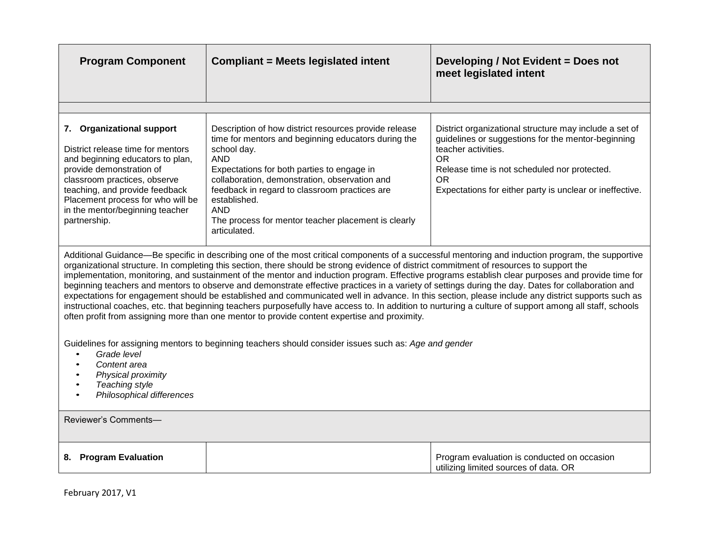| <b>Program Component</b>                                                                                                                                                                                                                                                                                                                                                                                                                                                                                                                                                                                                                                                                                                                                                                                                                                                                                                                                                                                                 | <b>Compliant = Meets legislated intent</b>                                                                                                                                                                                                                                                                                                                                                     | Developing / Not Evident = Does not<br>meet legislated intent                                                                                                                                                                                               |
|--------------------------------------------------------------------------------------------------------------------------------------------------------------------------------------------------------------------------------------------------------------------------------------------------------------------------------------------------------------------------------------------------------------------------------------------------------------------------------------------------------------------------------------------------------------------------------------------------------------------------------------------------------------------------------------------------------------------------------------------------------------------------------------------------------------------------------------------------------------------------------------------------------------------------------------------------------------------------------------------------------------------------|------------------------------------------------------------------------------------------------------------------------------------------------------------------------------------------------------------------------------------------------------------------------------------------------------------------------------------------------------------------------------------------------|-------------------------------------------------------------------------------------------------------------------------------------------------------------------------------------------------------------------------------------------------------------|
|                                                                                                                                                                                                                                                                                                                                                                                                                                                                                                                                                                                                                                                                                                                                                                                                                                                                                                                                                                                                                          |                                                                                                                                                                                                                                                                                                                                                                                                |                                                                                                                                                                                                                                                             |
| 7. Organizational support<br>District release time for mentors<br>and beginning educators to plan,<br>provide demonstration of<br>classroom practices, observe<br>teaching, and provide feedback<br>Placement process for who will be<br>in the mentor/beginning teacher<br>partnership.                                                                                                                                                                                                                                                                                                                                                                                                                                                                                                                                                                                                                                                                                                                                 | Description of how district resources provide release<br>time for mentors and beginning educators during the<br>school day.<br><b>AND</b><br>Expectations for both parties to engage in<br>collaboration, demonstration, observation and<br>feedback in regard to classroom practices are<br>established.<br><b>AND</b><br>The process for mentor teacher placement is clearly<br>articulated. | District organizational structure may include a set of<br>guidelines or suggestions for the mentor-beginning<br>teacher activities.<br>OR<br>Release time is not scheduled nor protected.<br>OR<br>Expectations for either party is unclear or ineffective. |
| Additional Guidance—Be specific in describing one of the most critical components of a successful mentoring and induction program, the supportive<br>organizational structure. In completing this section, there should be strong evidence of district commitment of resources to support the<br>implementation, monitoring, and sustainment of the mentor and induction program. Effective programs establish clear purposes and provide time for<br>beginning teachers and mentors to observe and demonstrate effective practices in a variety of settings during the day. Dates for collaboration and<br>expectations for engagement should be established and communicated well in advance. In this section, please include any district supports such as<br>instructional coaches, etc. that beginning teachers purposefully have access to. In addition to nurturing a culture of support among all staff, schools<br>often profit from assigning more than one mentor to provide content expertise and proximity. |                                                                                                                                                                                                                                                                                                                                                                                                |                                                                                                                                                                                                                                                             |
| Guidelines for assigning mentors to beginning teachers should consider issues such as: Age and gender<br>Grade level<br>Content area<br>Physical proximity<br>Teaching style<br>Philosophical differences                                                                                                                                                                                                                                                                                                                                                                                                                                                                                                                                                                                                                                                                                                                                                                                                                |                                                                                                                                                                                                                                                                                                                                                                                                |                                                                                                                                                                                                                                                             |
| Reviewer's Comments-                                                                                                                                                                                                                                                                                                                                                                                                                                                                                                                                                                                                                                                                                                                                                                                                                                                                                                                                                                                                     |                                                                                                                                                                                                                                                                                                                                                                                                |                                                                                                                                                                                                                                                             |
| 8. Program Evaluation                                                                                                                                                                                                                                                                                                                                                                                                                                                                                                                                                                                                                                                                                                                                                                                                                                                                                                                                                                                                    |                                                                                                                                                                                                                                                                                                                                                                                                | Program evaluation is conducted on occasion<br>utilizing limited sources of data. OR                                                                                                                                                                        |